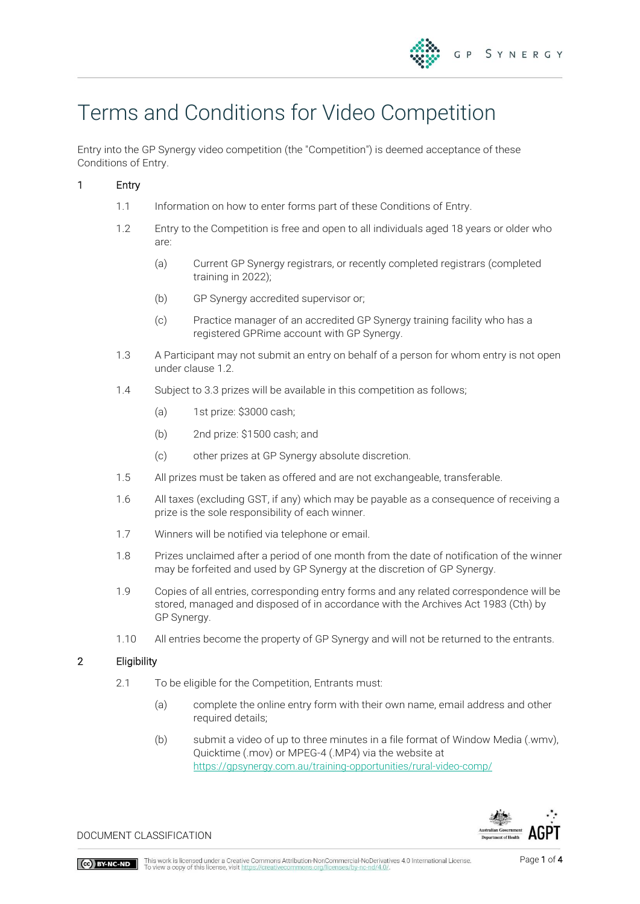# Terms and Conditions for Video Competition

Entry into the GP Synergy video competition (the "Competition") is deemed acceptance of these Conditions of Entry.

## 1 Entry

- 1.1 Information on how to enter forms part of these Conditions of Entry.
- 1.2 Entry to the Competition is free and open to all individuals aged 18 years or older who are:
	- (a) Current GP Synergy registrars, or recently completed registrars (completed training in 2022);
	- (b) GP Synergy accredited supervisor or;
	- (c) Practice manager of an accredited GP Synergy training facility who has a registered GPRime account with GP Synergy.
- 1.3 A Participant may not submit an entry on behalf of a person for whom entry is not open under clause 1.2.
- 1.4 Subject to 3.3 prizes will be available in this competition as follows;
	- (a) 1st prize: \$3000 cash;
	- (b) 2nd prize: \$1500 cash; and
	- (c) other prizes at GP Synergy absolute discretion.
- 1.5 All prizes must be taken as offered and are not exchangeable, transferable.
- 1.6 All taxes (excluding GST, if any) which may be payable as a consequence of receiving a prize is the sole responsibility of each winner.
- 1.7 Winners will be notified via telephone or email.
- 1.8 Prizes unclaimed after a period of one month from the date of notification of the winner may be forfeited and used by GP Synergy at the discretion of GP Synergy.
- 1.9 Copies of all entries, corresponding entry forms and any related correspondence will be stored, managed and disposed of in accordance with the Archives Act 1983 (Cth) by GP Synergy.
- 1.10 All entries become the property of GP Synergy and will not be returned to the entrants.

#### 2 Eligibility

- 2.1 To be eligible for the Competition, Entrants must:
	- (a) complete the online entry form with their own name, email address and other required details;
	- (b) submit a video of up to three minutes in a file format of Window Media (.wmv), Quicktime (.mov) or MPEG-4 (.MP4) via the website at <https://gpsynergy.com.au/training-opportunities/rural-video-comp/>



DOCUMENT CLASSIFICATION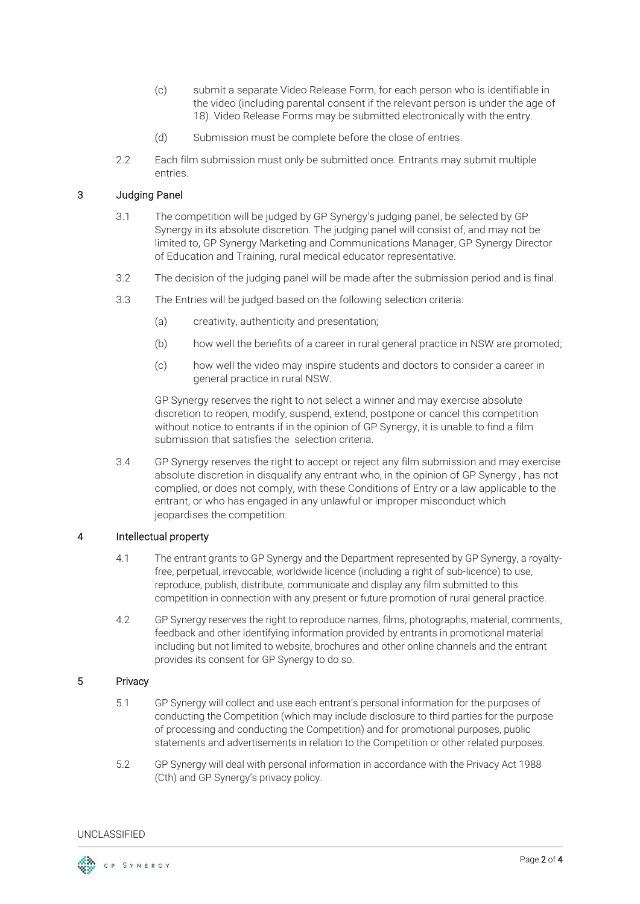- (c) submit a separate Video Release Form, for each person who is identifiable in the video (including parental consent if the relevant person is under the age of 18). Video Release Forms may be submitted electronically with the entry.
- (d) Submission must be complete before the close of entries.
- 2.2 Each film submission must only be submitted once. Entrants may submit multiple entries.

### 3 Judging Panel

- 3.1 The competition will be judged by GP Synergy's judging panel, be selected by GP Synergy in its absolute discretion. The judging panel will consist of, and may not be limited to, GP Synergy Marketing and Communications Manager, GP Synergy Director of Education and Training, rural medical educator representative.
- 3.2 The decision of the judging panel will be made after the submission period and is final.
- 3.3 The Entries will be judged based on the following selection criteria:
	- (a) creativity, authenticity and presentation;
	- (b) how well the benefits of a career in rural general practice in NSW are promoted;
	- (c) how well the video may inspire students and doctors to consider a career in general practice in rural NSW.

GP Synergy reserves the right to not select a winner and may exercise absolute discretion to reopen, modify, suspend, extend, postpone or cancel this competition without notice to entrants if in the opinion of GP Synergy, it is unable to find a film submission that satisfies the selection criteria.

3.4 GP Synergy reserves the right to accept or reject any film submission and may exercise absolute discretion in disqualify any entrant who, in the opinion of GP Synergy , has not complied, or does not comply, with these Conditions of Entry or a law applicable to the entrant, or who has engaged in any unlawful or improper misconduct which jeopardises the competition.

#### 4 Intellectual property

- 4.1 The entrant grants to GP Synergy and the Department represented by GP Synergy, a royaltyfree, perpetual, irrevocable, worldwide licence (including a right of sub-licence) to use, reproduce, publish, distribute, communicate and display any film submitted to this competition in connection with any present or future promotion of rural general practice.
- 4.2 GP Synergy reserves the right to reproduce names, films, photographs, material, comments, feedback and other identifying information provided by entrants in promotional material including but not limited to website, brochures and other online channels and the entrant provides its consent for GP Synergy to do so.

#### 5 Privacy

- 5.1 GP Synergy will collect and use each entrant's personal information for the purposes of conducting the Competition (which may include disclosure to third parties for the purpose of processing and conducting the Competition) and for promotional purposes, public statements and advertisements in relation to the Competition or other related purposes.
- 5.2 GP Synergy will deal with personal information in accordance with the Privacy Act 1988 (Cth) and GP Synergy's privacy policy.

UNCLASSIFIED

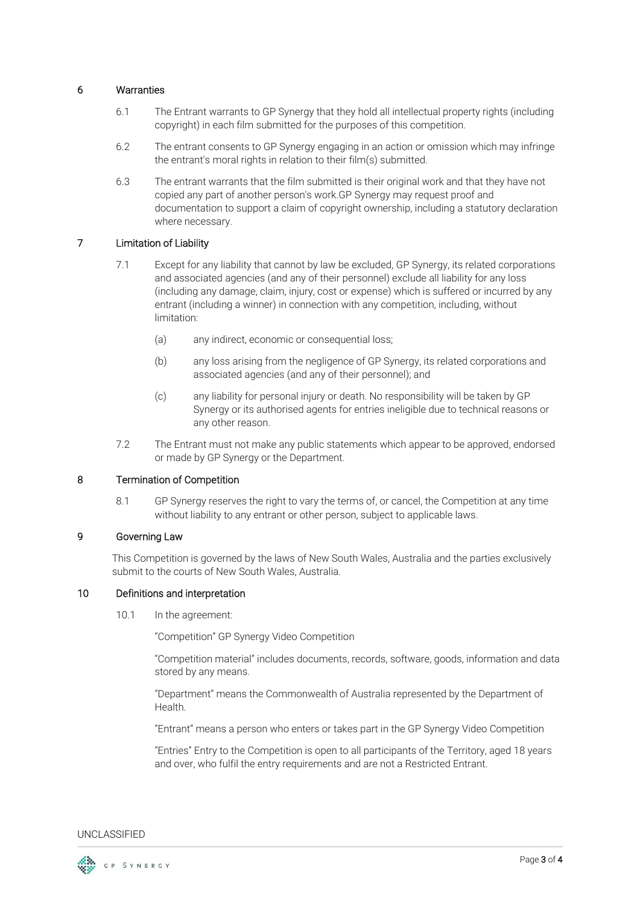#### 6 Warranties

- 6.1 The Entrant warrants to GP Synergy that they hold all intellectual property rights (including copyright) in each film submitted for the purposes of this competition.
- 6.2 The entrant consents to GP Synergy engaging in an action or omission which may infringe the entrant's moral rights in relation to their film(s) submitted.
- 6.3 The entrant warrants that the film submitted is their original work and that they have not copied any part of another person's work.GP Synergy may request proof and documentation to support a claim of copyright ownership, including a statutory declaration where necessary.

### 7 Limitation of Liability

- 7.1 Except for any liability that cannot by law be excluded, GP Synergy, its related corporations and associated agencies (and any of their personnel) exclude all liability for any loss (including any damage, claim, injury, cost or expense) which is suffered or incurred by any entrant (including a winner) in connection with any competition, including, without limitation:
	- (a) any indirect, economic or consequential loss;
	- (b) any loss arising from the negligence of GP Synergy, its related corporations and associated agencies (and any of their personnel); and
	- (c) any liability for personal injury or death. No responsibility will be taken by GP Synergy or its authorised agents for entries ineligible due to technical reasons or any other reason.
- 7.2 The Entrant must not make any public statements which appear to be approved, endorsed or made by GP Synergy or the Department.

#### 8 Termination of Competition

8.1 GP Synergy reserves the right to vary the terms of, or cancel, the Competition at any time without liability to any entrant or other person, subject to applicable laws.

#### 9 Governing Law

This Competition is governed by the laws of New South Wales, Australia and the parties exclusively submit to the courts of New South Wales, Australia.

#### 10 Definitions and interpretation

10.1 In the agreement:

"Competition" GP Synergy Video Competition

"Competition material" includes documents, records, software, goods, information and data stored by any means.

"Department" means the Commonwealth of Australia represented by the Department of Health.

"Entrant" means a person who enters or takes part in the GP Synergy Video Competition

"Entries" Entry to the Competition is open to all participants of the Territory, aged 18 years and over, who fulfil the entry requirements and are not a Restricted Entrant.

#### UNCLASSIFIED